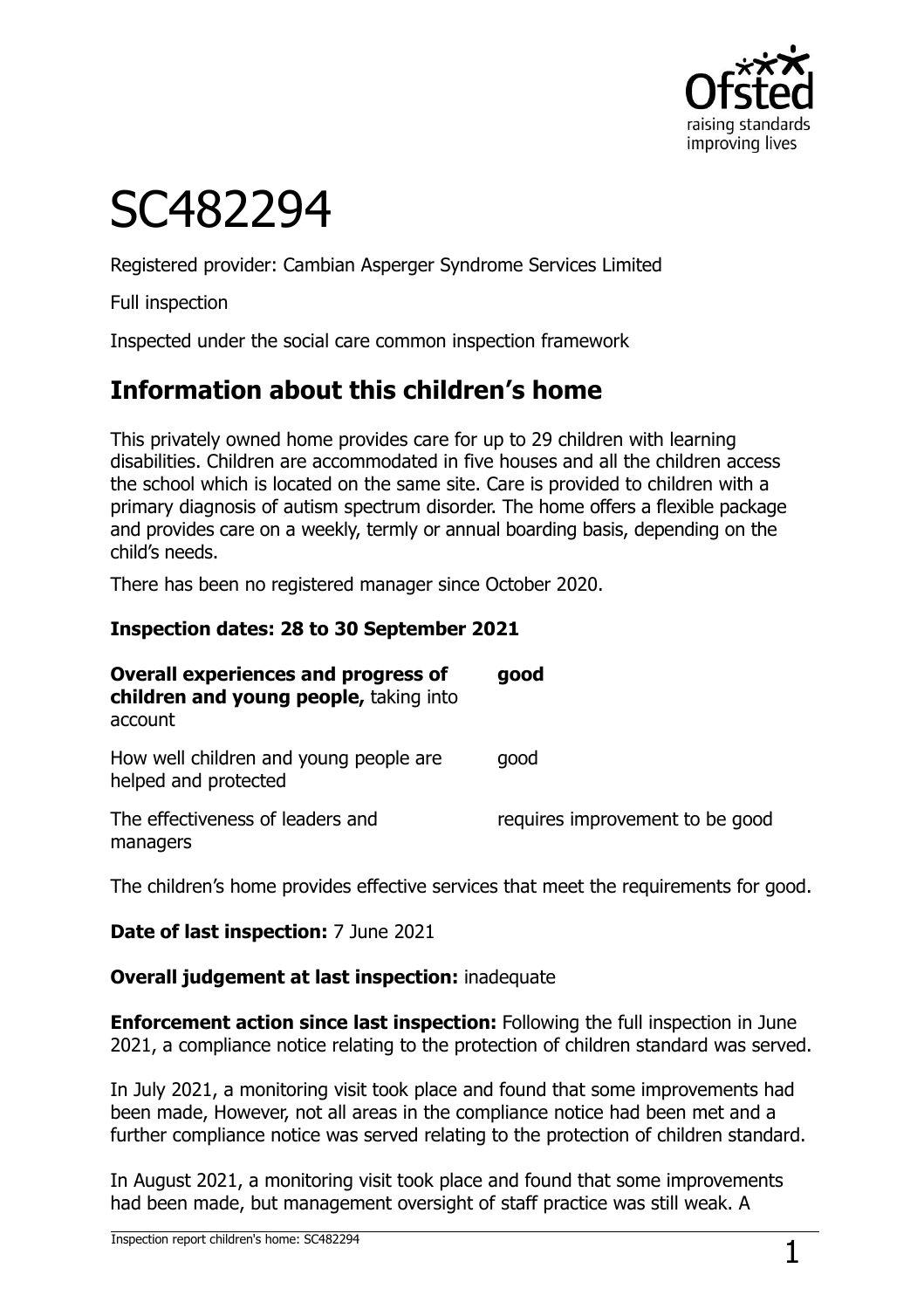

# SC482294

Registered provider: Cambian Asperger Syndrome Services Limited

Full inspection

Inspected under the social care common inspection framework

## **Information about this children's home**

This privately owned home provides care for up to 29 children with learning disabilities. Children are accommodated in five houses and all the children access the school which is located on the same site. Care is provided to children with a primary diagnosis of autism spectrum disorder. The home offers a flexible package and provides care on a weekly, termly or annual boarding basis, depending on the child's needs.

There has been no registered manager since October 2020.

#### **Inspection dates: 28 to 30 September 2021**

| <b>Overall experiences and progress of</b><br>children and young people, taking into<br>account | good                            |
|-------------------------------------------------------------------------------------------------|---------------------------------|
| How well children and young people are<br>helped and protected                                  | good                            |
| The effectiveness of leaders and<br>managers                                                    | requires improvement to be good |

The children's home provides effective services that meet the requirements for good.

**Date of last inspection:** 7 June 2021

#### **Overall judgement at last inspection:** inadequate

**Enforcement action since last inspection:** Following the full inspection in June 2021, a compliance notice relating to the protection of children standard was served.

In July 2021, a monitoring visit took place and found that some improvements had been made, However, not all areas in the compliance notice had been met and a further compliance notice was served relating to the protection of children standard.

In August 2021, a monitoring visit took place and found that some improvements had been made, but management oversight of staff practice was still weak. A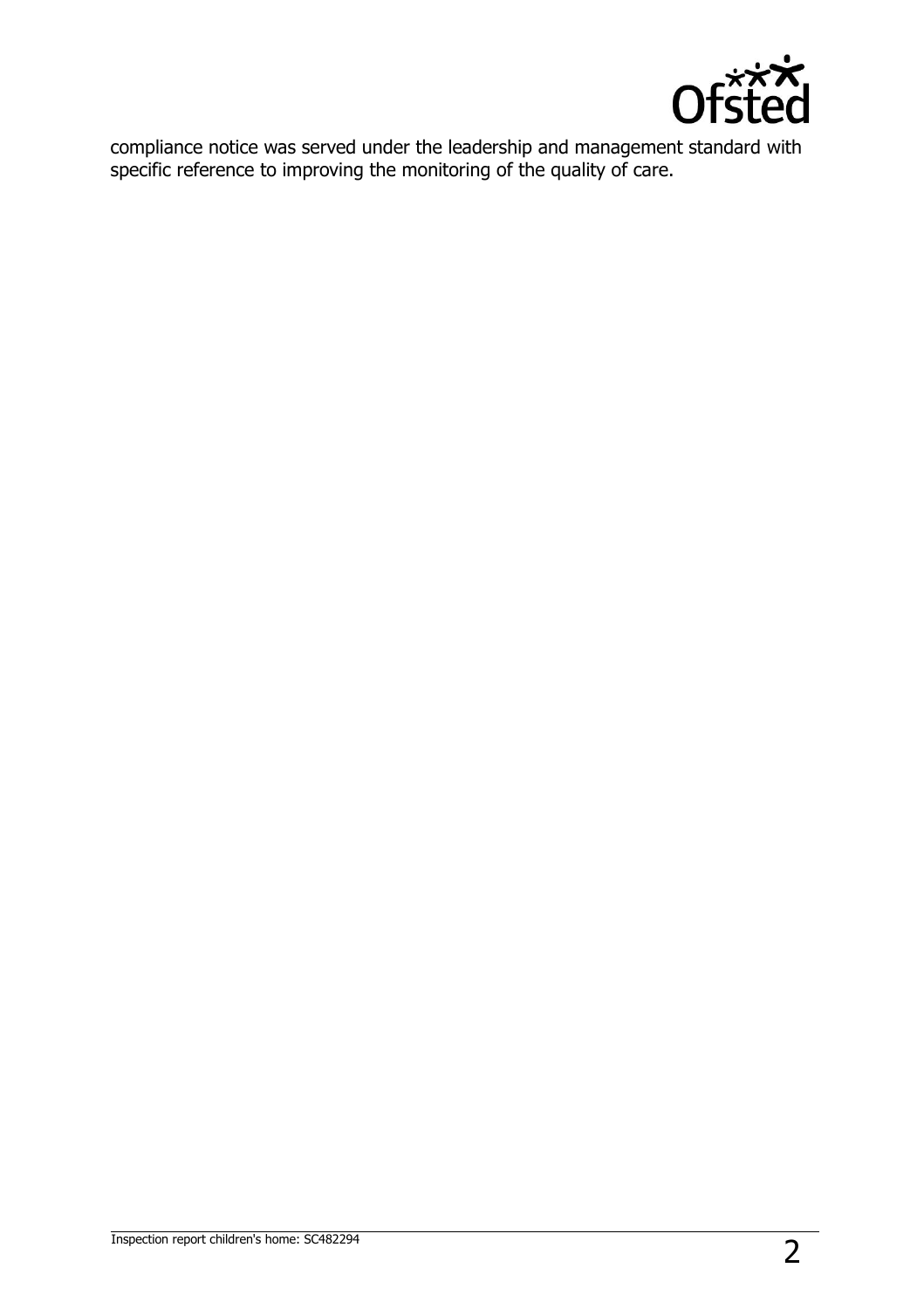

compliance notice was served under the leadership and management standard with specific reference to improving the monitoring of the quality of care.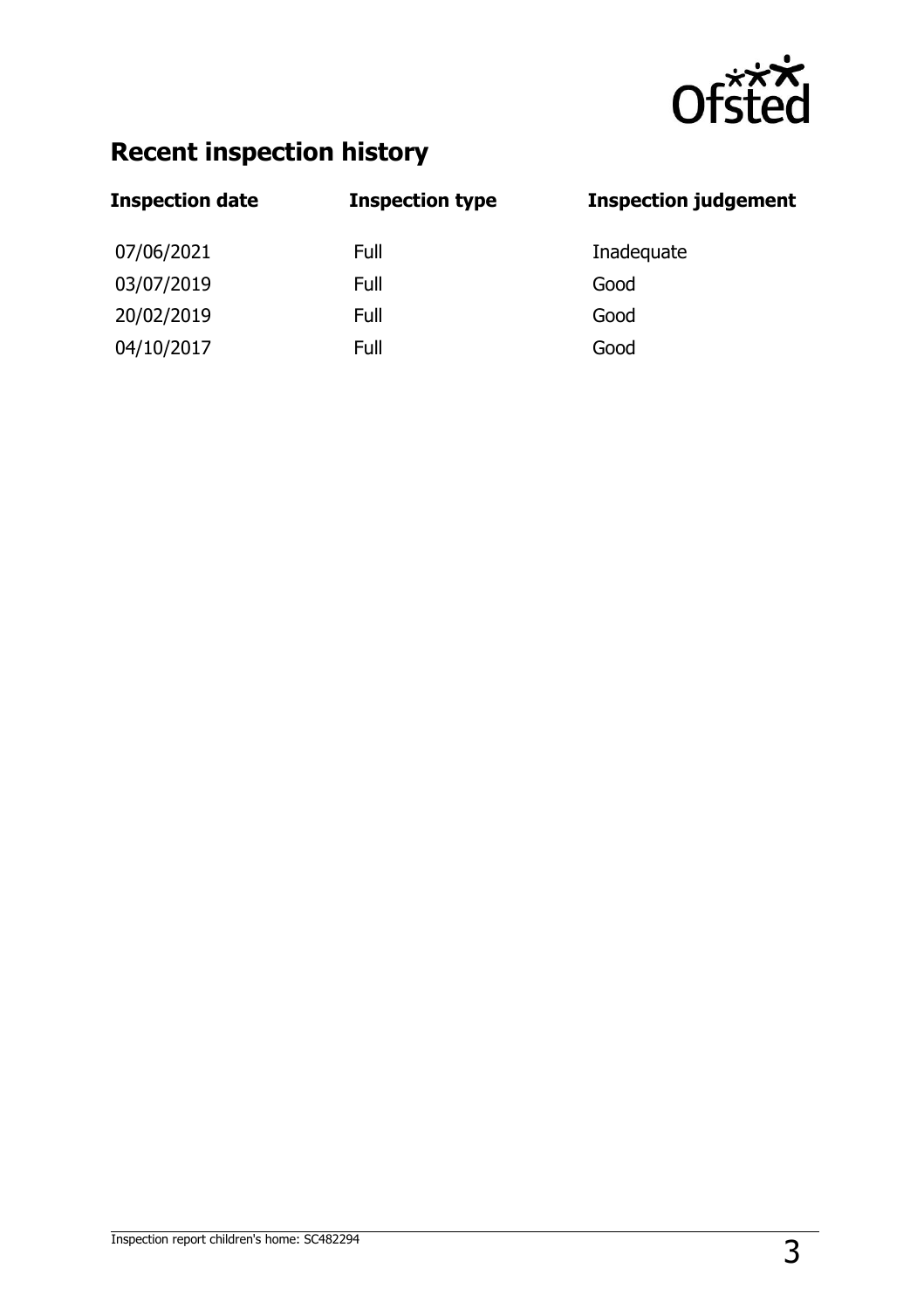

## **Recent inspection history**

| <b>Inspection date</b> | <b>Inspection type</b> | <b>Inspection judgement</b> |
|------------------------|------------------------|-----------------------------|
| 07/06/2021             | Full                   | Inadequate                  |
| 03/07/2019             | Full                   | Good                        |
| 20/02/2019             | Full                   | Good                        |
| 04/10/2017             | Full                   | Good                        |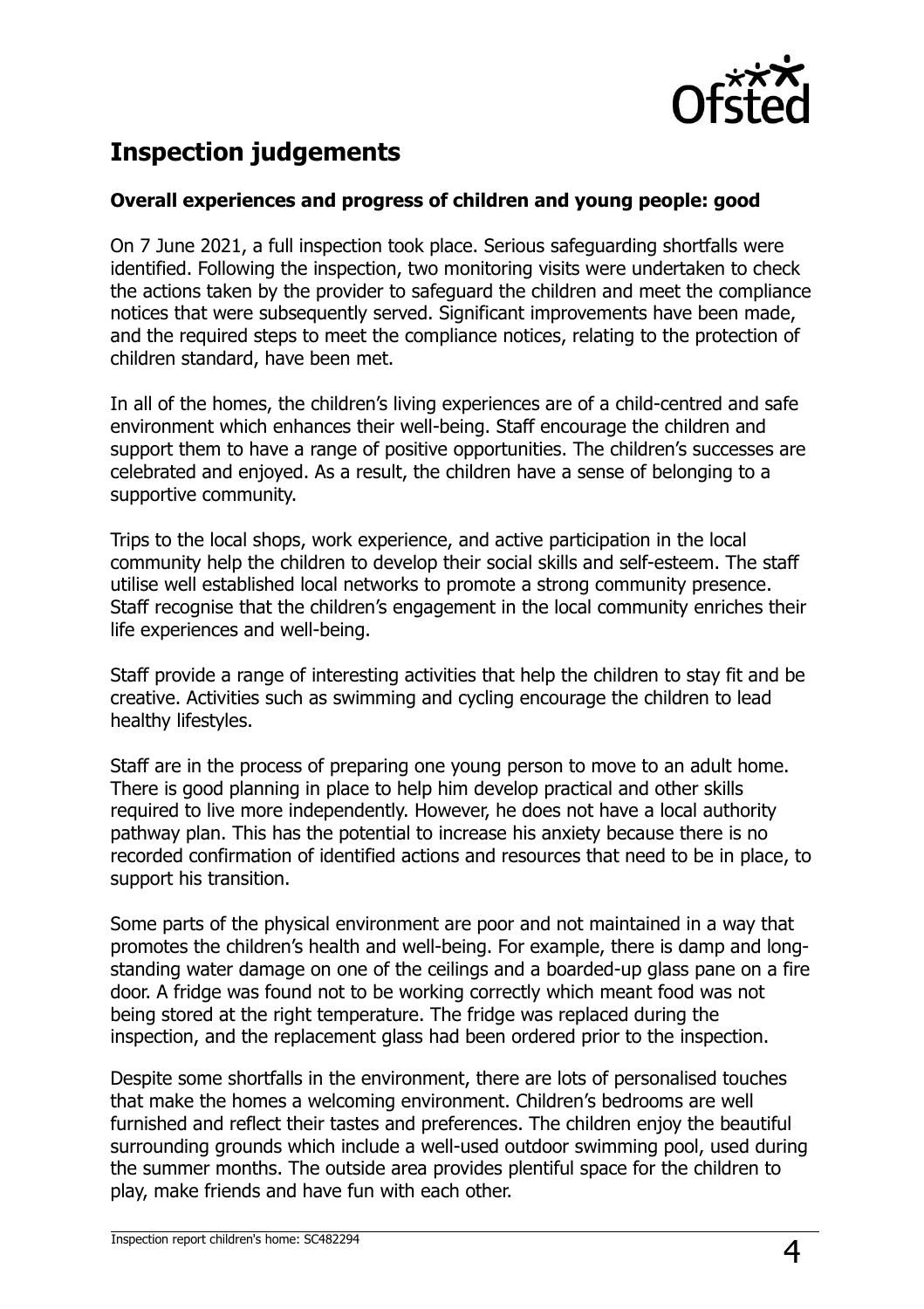

## **Inspection judgements**

#### **Overall experiences and progress of children and young people: good**

On 7 June 2021, a full inspection took place. Serious safeguarding shortfalls were identified. Following the inspection, two monitoring visits were undertaken to check the actions taken by the provider to safeguard the children and meet the compliance notices that were subsequently served. Significant improvements have been made, and the required steps to meet the compliance notices, relating to the protection of children standard, have been met.

In all of the homes, the children's living experiences are of a child-centred and safe environment which enhances their well-being. Staff encourage the children and support them to have a range of positive opportunities. The children's successes are celebrated and enjoyed. As a result, the children have a sense of belonging to a supportive community.

Trips to the local shops, work experience, and active participation in the local community help the children to develop their social skills and self-esteem. The staff utilise well established local networks to promote a strong community presence. Staff recognise that the children's engagement in the local community enriches their life experiences and well-being.

Staff provide a range of interesting activities that help the children to stay fit and be creative. Activities such as swimming and cycling encourage the children to lead healthy lifestyles.

Staff are in the process of preparing one young person to move to an adult home. There is good planning in place to help him develop practical and other skills required to live more independently. However, he does not have a local authority pathway plan. This has the potential to increase his anxiety because there is no recorded confirmation of identified actions and resources that need to be in place, to support his transition.

Some parts of the physical environment are poor and not maintained in a way that promotes the children's health and well-being. For example, there is damp and longstanding water damage on one of the ceilings and a boarded-up glass pane on a fire door. A fridge was found not to be working correctly which meant food was not being stored at the right temperature. The fridge was replaced during the inspection, and the replacement glass had been ordered prior to the inspection.

Despite some shortfalls in the environment, there are lots of personalised touches that make the homes a welcoming environment. Children's bedrooms are well furnished and reflect their tastes and preferences. The children enjoy the beautiful surrounding grounds which include a well-used outdoor swimming pool, used during the summer months. The outside area provides plentiful space for the children to play, make friends and have fun with each other.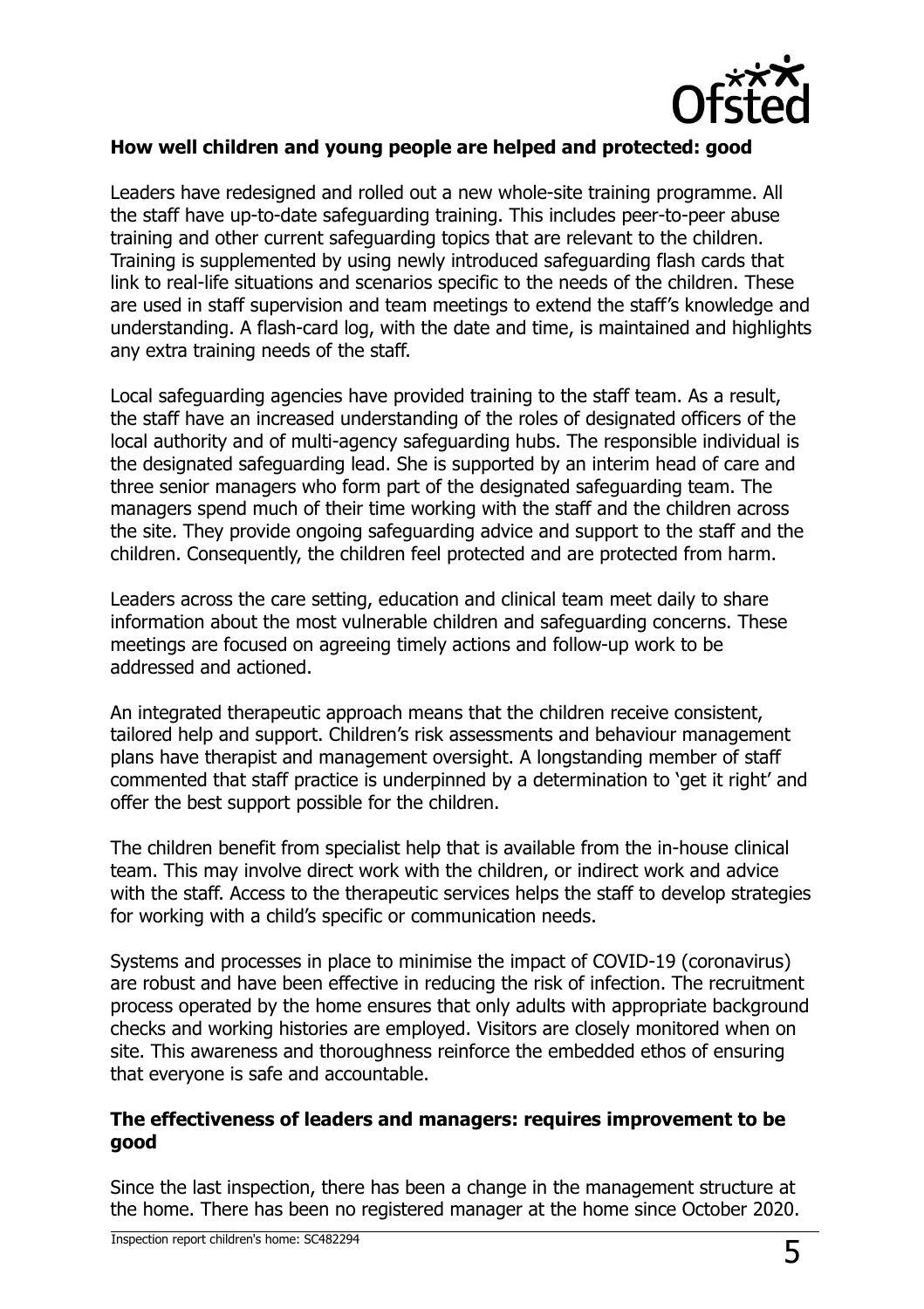

#### **How well children and young people are helped and protected: good**

Leaders have redesigned and rolled out a new whole-site training programme. All the staff have up-to-date safeguarding training. This includes peer-to-peer abuse training and other current safeguarding topics that are relevant to the children. Training is supplemented by using newly introduced safeguarding flash cards that link to real-life situations and scenarios specific to the needs of the children. These are used in staff supervision and team meetings to extend the staff's knowledge and understanding. A flash-card log, with the date and time, is maintained and highlights any extra training needs of the staff.

Local safeguarding agencies have provided training to the staff team. As a result, the staff have an increased understanding of the roles of designated officers of the local authority and of multi-agency safeguarding hubs. The responsible individual is the designated safeguarding lead. She is supported by an interim head of care and three senior managers who form part of the designated safeguarding team. The managers spend much of their time working with the staff and the children across the site. They provide ongoing safeguarding advice and support to the staff and the children. Consequently, the children feel protected and are protected from harm.

Leaders across the care setting, education and clinical team meet daily to share information about the most vulnerable children and safeguarding concerns. These meetings are focused on agreeing timely actions and follow-up work to be addressed and actioned.

An integrated therapeutic approach means that the children receive consistent, tailored help and support. Children's risk assessments and behaviour management plans have therapist and management oversight. A longstanding member of staff commented that staff practice is underpinned by a determination to 'get it right' and offer the best support possible for the children.

The children benefit from specialist help that is available from the in-house clinical team. This may involve direct work with the children, or indirect work and advice with the staff. Access to the therapeutic services helps the staff to develop strategies for working with a child's specific or communication needs.

Systems and processes in place to minimise the impact of COVID-19 (coronavirus) are robust and have been effective in reducing the risk of infection. The recruitment process operated by the home ensures that only adults with appropriate background checks and working histories are employed. Visitors are closely monitored when on site. This awareness and thoroughness reinforce the embedded ethos of ensuring that everyone is safe and accountable.

#### **The effectiveness of leaders and managers: requires improvement to be good**

Since the last inspection, there has been a change in the management structure at the home. There has been no registered manager at the home since October 2020.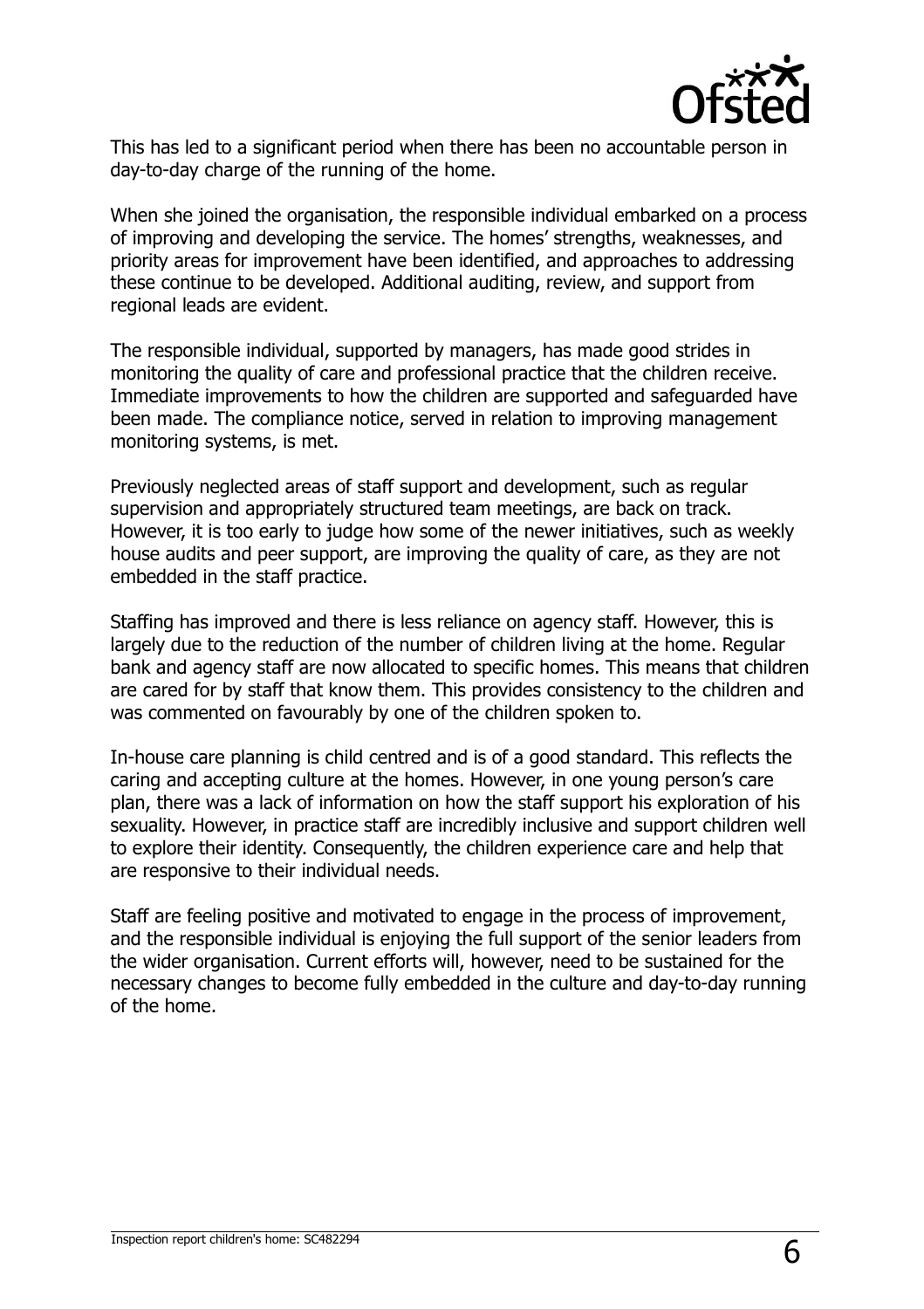

This has led to a significant period when there has been no accountable person in day-to-day charge of the running of the home.

When she joined the organisation, the responsible individual embarked on a process of improving and developing the service. The homes' strengths, weaknesses, and priority areas for improvement have been identified, and approaches to addressing these continue to be developed. Additional auditing, review, and support from regional leads are evident.

The responsible individual, supported by managers, has made good strides in monitoring the quality of care and professional practice that the children receive. Immediate improvements to how the children are supported and safeguarded have been made. The compliance notice, served in relation to improving management monitoring systems, is met.

Previously neglected areas of staff support and development, such as regular supervision and appropriately structured team meetings, are back on track. However, it is too early to judge how some of the newer initiatives, such as weekly house audits and peer support, are improving the quality of care, as they are not embedded in the staff practice.

Staffing has improved and there is less reliance on agency staff. However, this is largely due to the reduction of the number of children living at the home. Regular bank and agency staff are now allocated to specific homes. This means that children are cared for by staff that know them. This provides consistency to the children and was commented on favourably by one of the children spoken to.

In-house care planning is child centred and is of a good standard. This reflects the caring and accepting culture at the homes. However, in one young person's care plan, there was a lack of information on how the staff support his exploration of his sexuality. However, in practice staff are incredibly inclusive and support children well to explore their identity. Consequently, the children experience care and help that are responsive to their individual needs.

Staff are feeling positive and motivated to engage in the process of improvement, and the responsible individual is enjoying the full support of the senior leaders from the wider organisation. Current efforts will, however, need to be sustained for the necessary changes to become fully embedded in the culture and day-to-day running of the home.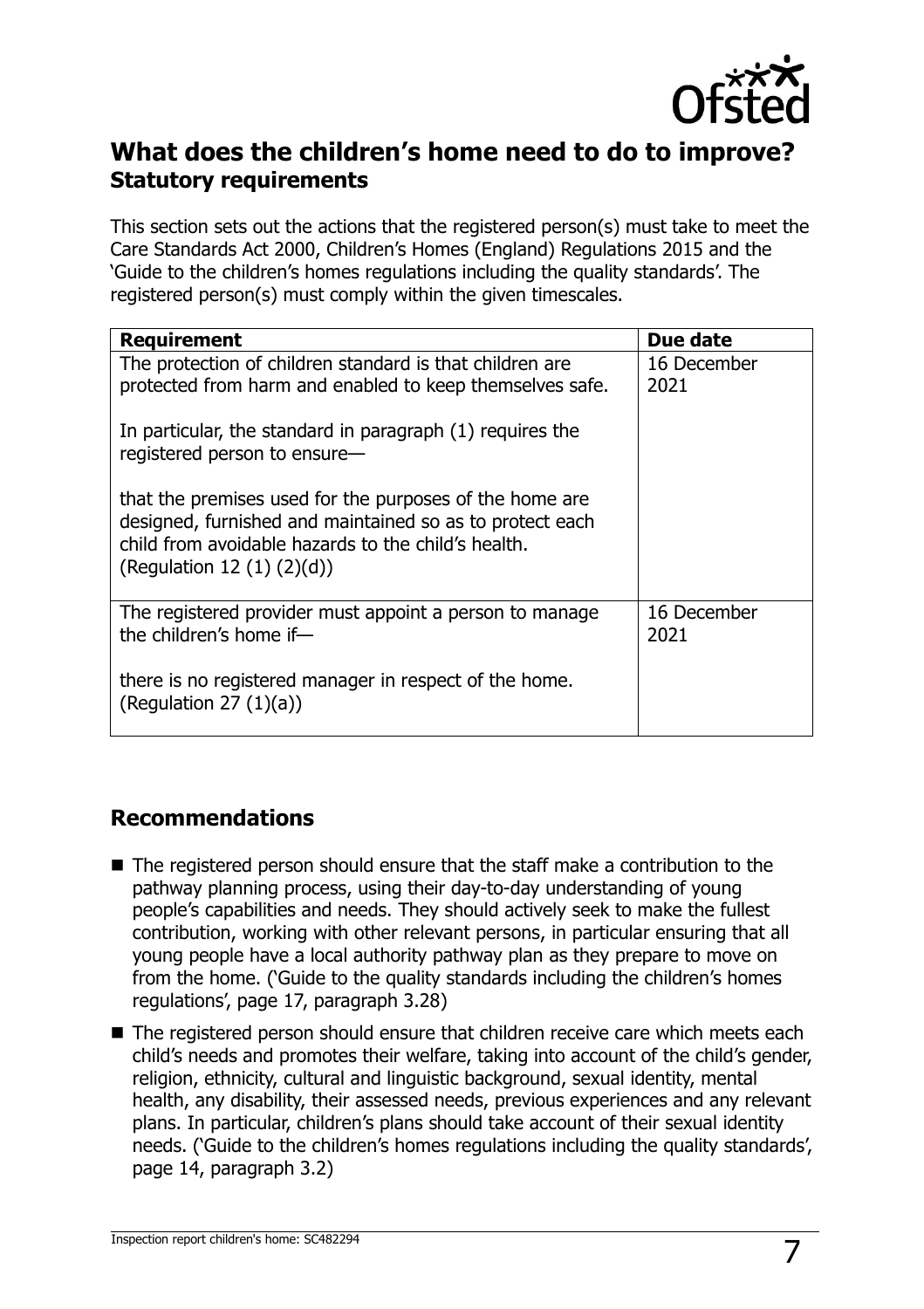

## **What does the children's home need to do to improve? Statutory requirements**

This section sets out the actions that the registered person(s) must take to meet the Care Standards Act 2000, Children's Homes (England) Regulations 2015 and the 'Guide to the children's homes regulations including the quality standards'. The registered person(s) must comply within the given timescales.

| <b>Requirement</b>                                                                                                                                                                                            | Due date            |
|---------------------------------------------------------------------------------------------------------------------------------------------------------------------------------------------------------------|---------------------|
| The protection of children standard is that children are                                                                                                                                                      | 16 December         |
| protected from harm and enabled to keep themselves safe.                                                                                                                                                      | 2021                |
| In particular, the standard in paragraph (1) requires the<br>registered person to ensure-                                                                                                                     |                     |
| that the premises used for the purposes of the home are<br>designed, furnished and maintained so as to protect each<br>child from avoidable hazards to the child's health.<br>(Regulation 12 $(1)$ $(2)(d)$ ) |                     |
| The registered provider must appoint a person to manage<br>the children's home if-                                                                                                                            | 16 December<br>2021 |
| there is no registered manager in respect of the home.<br>(Regulation 27 $(1)(a)$ )                                                                                                                           |                     |

### **Recommendations**

- The registered person should ensure that the staff make a contribution to the pathway planning process, using their day-to-day understanding of young people's capabilities and needs. They should actively seek to make the fullest contribution, working with other relevant persons, in particular ensuring that all young people have a local authority pathway plan as they prepare to move on from the home. ('Guide to the quality standards including the children's homes regulations', page 17, paragraph 3.28)
- The registered person should ensure that children receive care which meets each child's needs and promotes their welfare, taking into account of the child's gender, religion, ethnicity, cultural and linguistic background, sexual identity, mental health, any disability, their assessed needs, previous experiences and any relevant plans. In particular, children's plans should take account of their sexual identity needs. ('Guide to the children's homes regulations including the quality standards', page 14, paragraph 3.2)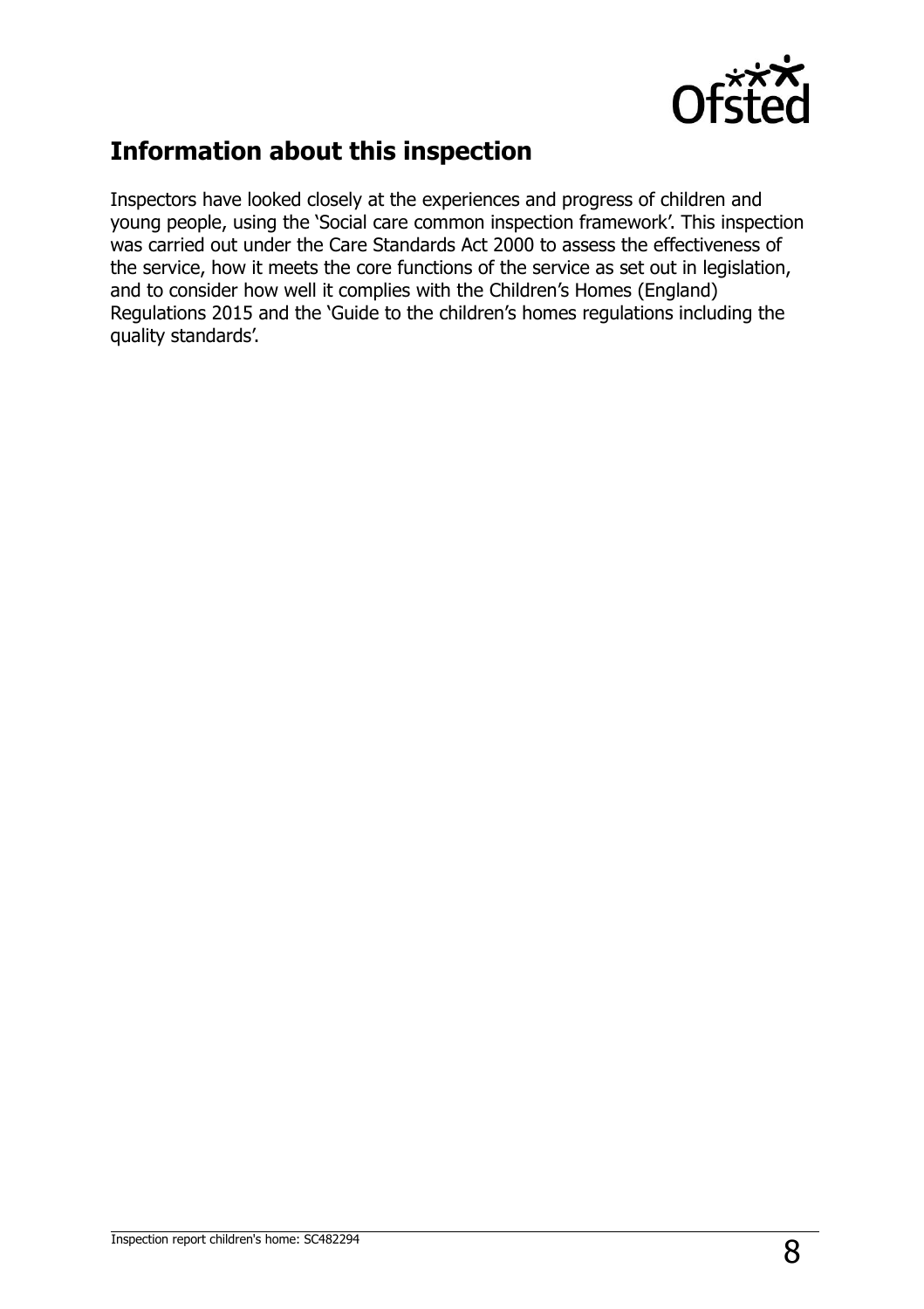

## **Information about this inspection**

Inspectors have looked closely at the experiences and progress of children and young people, using the 'Social care common inspection framework'. This inspection was carried out under the Care Standards Act 2000 to assess the effectiveness of the service, how it meets the core functions of the service as set out in legislation, and to consider how well it complies with the Children's Homes (England) Regulations 2015 and the 'Guide to the children's homes regulations including the quality standards'.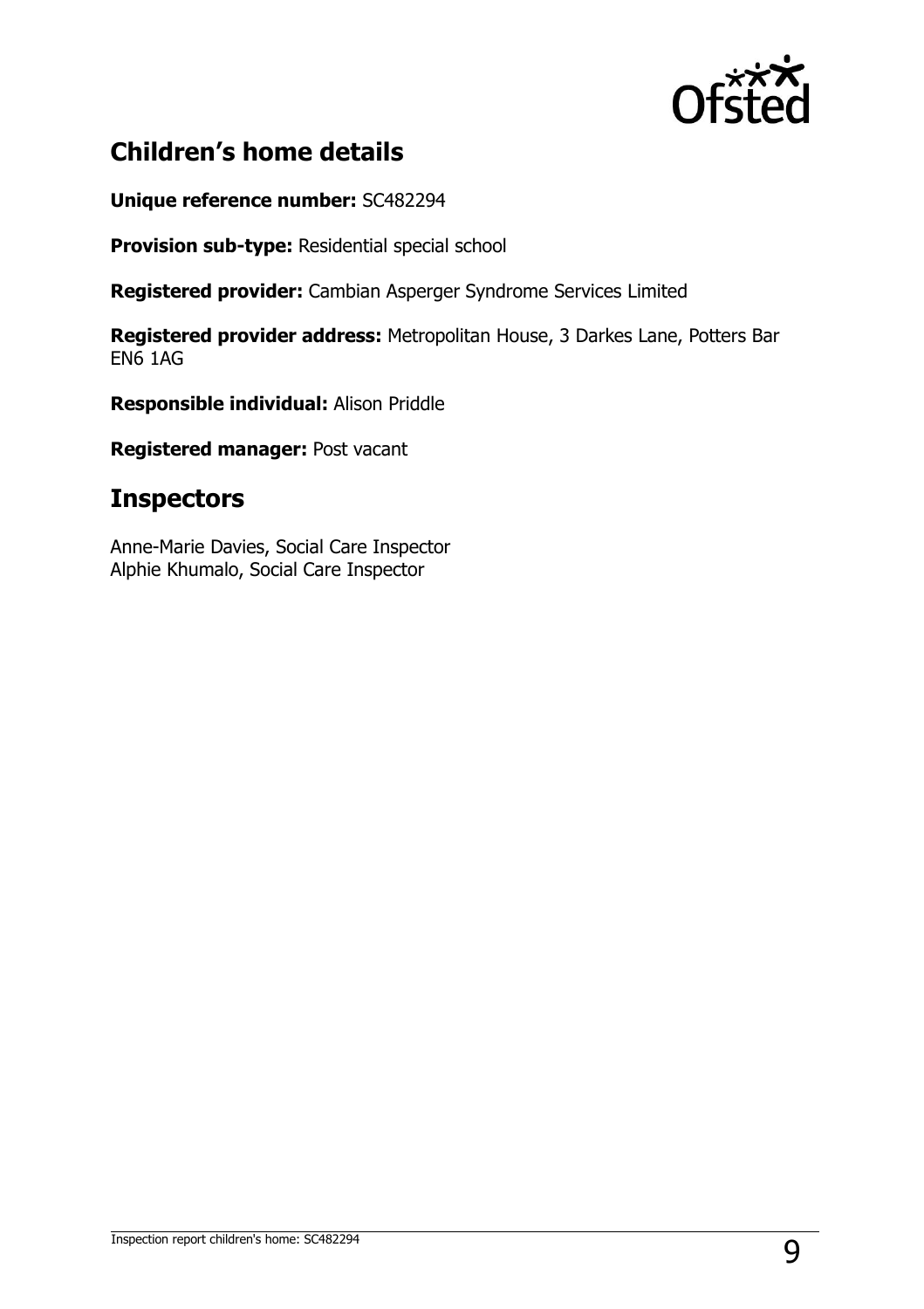

## **Children's home details**

**Unique reference number:** SC482294

**Provision sub-type:** Residential special school

**Registered provider:** Cambian Asperger Syndrome Services Limited

**Registered provider address:** Metropolitan House, 3 Darkes Lane, Potters Bar EN6 1AG

**Responsible individual:** Alison Priddle

**Registered manager:** Post vacant

## **Inspectors**

Anne-Marie Davies, Social Care Inspector Alphie Khumalo, Social Care Inspector